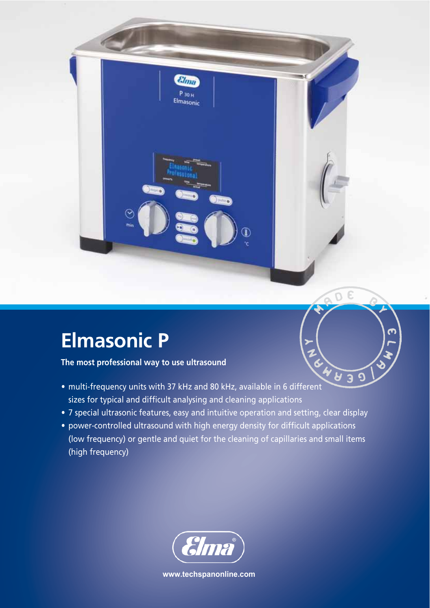## **Elmasonic P**

୧

**The most professional way to use ultrasound**

Ine most professional way to use unresearch and the most professional way to use unresearch and the most professional of  $\frac{80}{2}$  MHz, available in 6 different sizes for typical and difficult analysing and cleaning applications

 $g_{lmn}$ P 30 H Elmasonic

• 7 special ultrasonic features, easy and intuitive operation and setting, clear display

 $^\mathbb{\textcirc}$ 

 $\sigma$ 

 $\overline{\mathbf{C}}$ 

• power-controlled ultrasound with high energy density for difficult applications (low frequency) or gentle and quiet for the cleaning of capillaries and small items (high frequency)



**www.techspanonline.com**